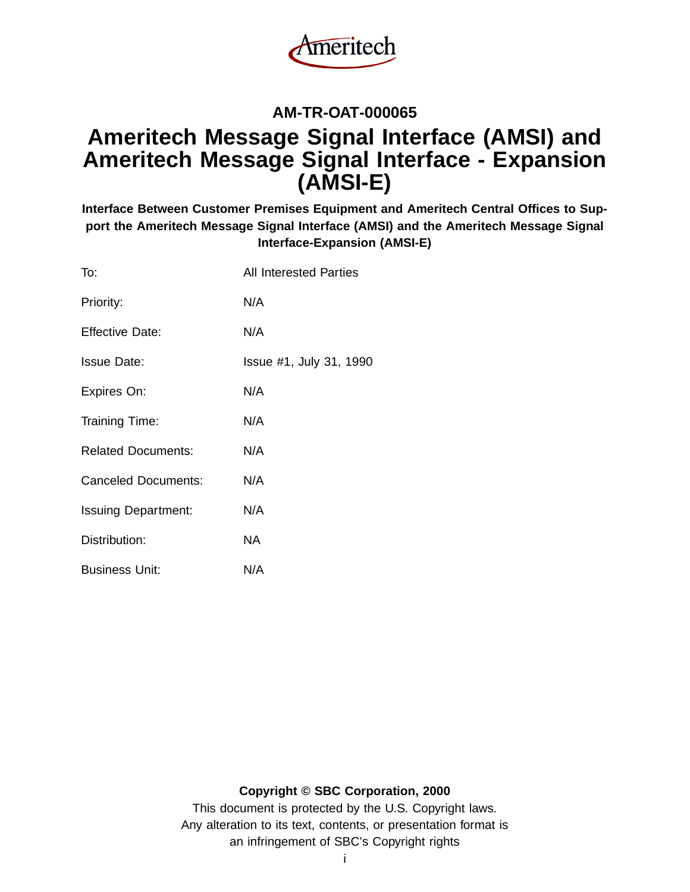

# **AM-TR-OAT-000065**

# **Ameritech Message Signal Interface (AMSI) and Ameritech Message Signal Interface - Expansion (AMSI-E)**

**Interface Between Customer Premises Equipment and Ameritech Central Offices to Support the Ameritech Message Signal Interface (AMSI) and the Ameritech Message Signal Interface-Expansion (AMSI-E)**

| To:                        | All Interested Parties  |
|----------------------------|-------------------------|
| Priority:                  | N/A                     |
| <b>Effective Date:</b>     | N/A                     |
| <b>Issue Date:</b>         | Issue #1, July 31, 1990 |
| Expires On:                | N/A                     |
| Training Time:             | N/A                     |
| <b>Related Documents:</b>  | N/A                     |
| Canceled Documents:        | N/A                     |
| <b>Issuing Department:</b> | N/A                     |
| Distribution:              | NA.                     |
| <b>Business Unit:</b>      | N/A                     |

## **Copyright © SBC Corporation, 2000**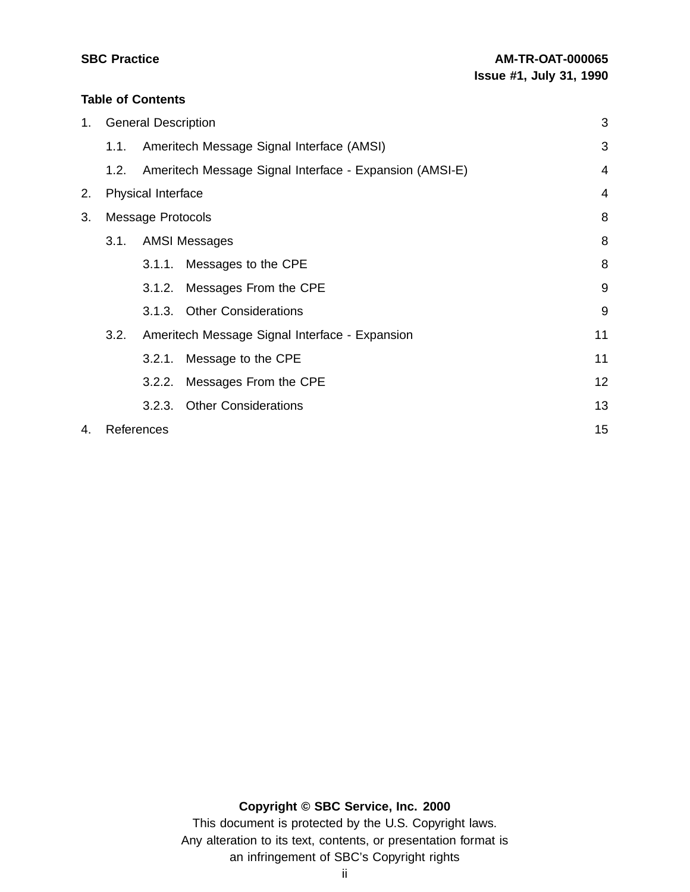### **Table of Contents**

| 1. | <b>General Description</b>                             |                         |                                                         | 3  |  |
|----|--------------------------------------------------------|-------------------------|---------------------------------------------------------|----|--|
|    | 1.1.                                                   |                         | Ameritech Message Signal Interface (AMSI)               | 3  |  |
|    | 1.2.                                                   |                         | Ameritech Message Signal Interface - Expansion (AMSI-E) | 4  |  |
| 2. |                                                        | Physical Interface<br>4 |                                                         |    |  |
| 3. | <b>Message Protocols</b>                               |                         | 8                                                       |    |  |
|    | 3.1.                                                   |                         | <b>AMSI Messages</b>                                    | 8  |  |
|    |                                                        | 3.1.1.                  | Messages to the CPE                                     | 8  |  |
|    |                                                        |                         | 3.1.2. Messages From the CPE                            | 9  |  |
|    |                                                        |                         | 3.1.3. Other Considerations                             | 9  |  |
|    | Ameritech Message Signal Interface - Expansion<br>3.2. |                         | 11                                                      |    |  |
|    |                                                        | 3.2.1.                  | Message to the CPE                                      | 11 |  |
|    |                                                        | 3.2.2.                  | Messages From the CPE                                   | 12 |  |
|    |                                                        | 3.2.3.                  | <b>Other Considerations</b>                             | 13 |  |
| 4. | References                                             |                         |                                                         | 15 |  |

# **Copyright © SBC Service, Inc. 2000**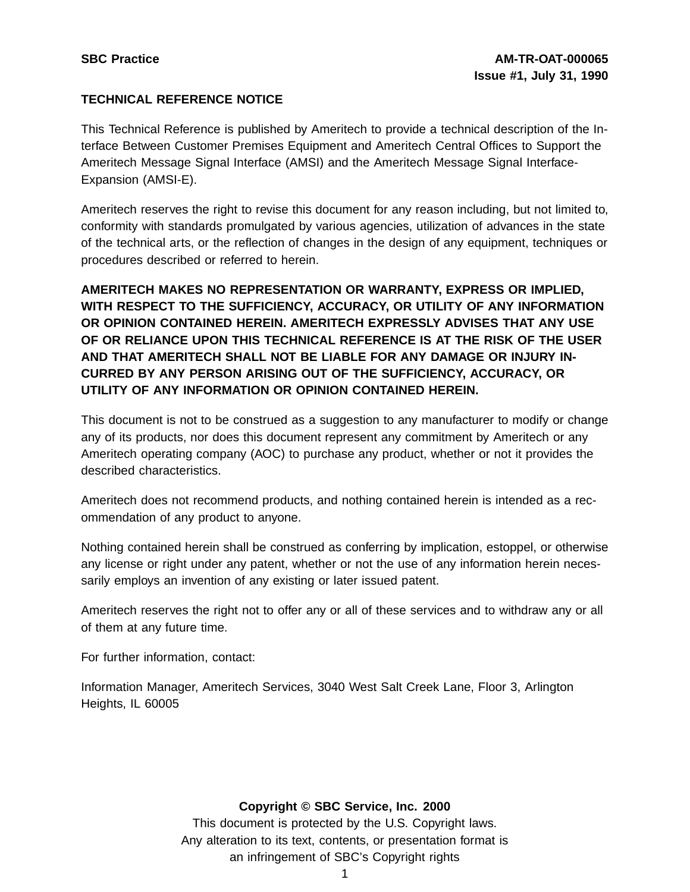# **TECHNICAL REFERENCE NOTICE**

This Technical Reference is published by Ameritech to provide a technical description of the Interface Between Customer Premises Equipment and Ameritech Central Offices to Support the Ameritech Message Signal Interface (AMSI) and the Ameritech Message Signal Interface-Expansion (AMSI-E).

Ameritech reserves the right to revise this document for any reason including, but not limited to, conformity with standards promulgated by various agencies, utilization of advances in the state of the technical arts, or the reflection of changes in the design of any equipment, techniques or procedures described or referred to herein.

**AMERITECH MAKES NO REPRESENTATION OR WARRANTY, EXPRESS OR IMPLIED, WITH RESPECT TO THE SUFFICIENCY, ACCURACY, OR UTILITY OF ANY INFORMATION OR OPINION CONTAINED HEREIN. AMERITECH EXPRESSLY ADVISES THAT ANY USE OF OR RELIANCE UPON THIS TECHNICAL REFERENCE IS AT THE RISK OF THE USER AND THAT AMERITECH SHALL NOT BE LIABLE FOR ANY DAMAGE OR INJURY IN-CURRED BY ANY PERSON ARISING OUT OF THE SUFFICIENCY, ACCURACY, OR UTILITY OF ANY INFORMATION OR OPINION CONTAINED HEREIN.**

This document is not to be construed as a suggestion to any manufacturer to modify or change any of its products, nor does this document represent any commitment by Ameritech or any Ameritech operating company (AOC) to purchase any product, whether or not it provides the described characteristics.

Ameritech does not recommend products, and nothing contained herein is intended as a recommendation of any product to anyone.

Nothing contained herein shall be construed as conferring by implication, estoppel, or otherwise any license or right under any patent, whether or not the use of any information herein necessarily employs an invention of any existing or later issued patent.

Ameritech reserves the right not to offer any or all of these services and to withdraw any or all of them at any future time.

For further information, contact:

Information Manager, Ameritech Services, 3040 West Salt Creek Lane, Floor 3, Arlington Heights, IL 60005

## **Copyright © SBC Service, Inc. 2000**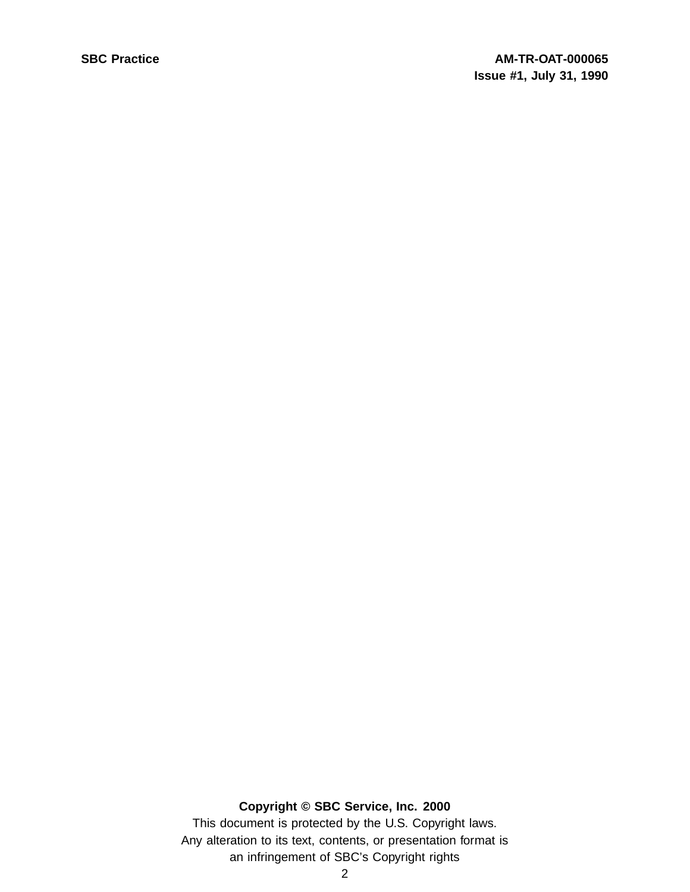# **Copyright © SBC Service, Inc. 2000**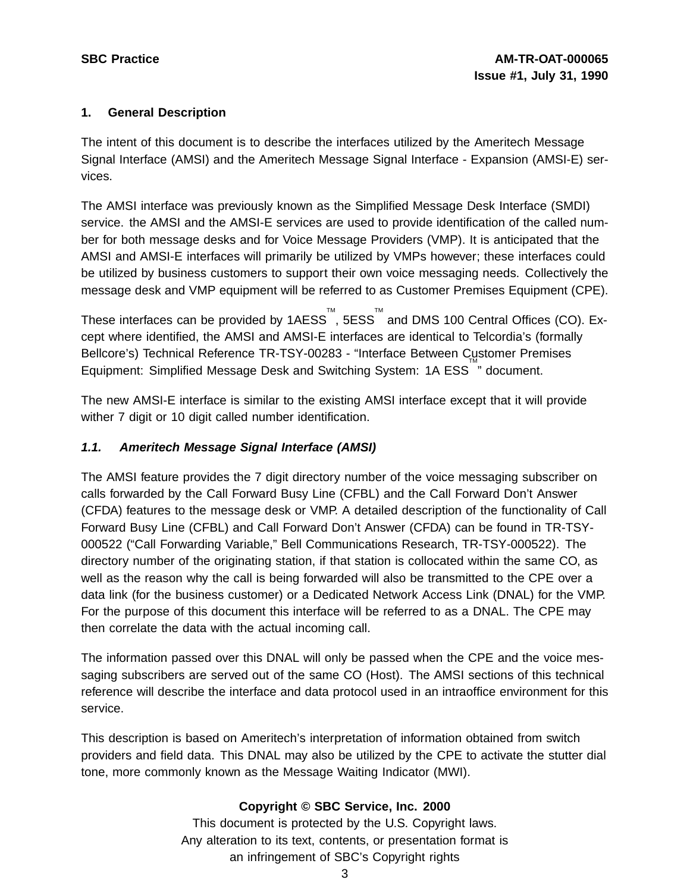## **1. General Description**

The intent of this document is to describe the interfaces utilized by the Ameritech Message Signal Interface (AMSI) and the Ameritech Message Signal Interface - Expansion (AMSI-E) services.

The AMSI interface was previously known as the Simplified Message Desk Interface (SMDI) service. the AMSI and the AMSI-E services are used to provide identification of the called number for both message desks and for Voice Message Providers (VMP). It is anticipated that the AMSI and AMSI-E interfaces will primarily be utilized by VMPs however; these interfaces could be utilized by business customers to support their own voice messaging needs. Collectively the message desk and VMP equipment will be referred to as Customer Premises Equipment (CPE).

These interfaces can be provided by 1AESS  $^{\mathbb{M}}$ , 5ESS  $^{\mathbb{M}}$  and DMS 100 Central Offices (CO). Except where identified, the AMSI and AMSI-E interfaces are identical to Telcordia's (formally Bellcore's) Technical Reference TR-TSY-00283 - "Interface Between Customer Premises Equipment: Simplified Message Desk and Switching System: 1A ESS " document. TM

The new AMSI-E interface is similar to the existing AMSI interface except that it will provide wither 7 digit or 10 digit called number identification.

# **1.1. Ameritech Message Signal Interface (AMSI)**

The AMSI feature provides the 7 digit directory number of the voice messaging subscriber on calls forwarded by the Call Forward Busy Line (CFBL) and the Call Forward Don't Answer (CFDA) features to the message desk or VMP. A detailed description of the functionality of Call Forward Busy Line (CFBL) and Call Forward Don't Answer (CFDA) can be found in TR-TSY-000522 ("Call Forwarding Variable," Bell Communications Research, TR-TSY-000522). The directory number of the originating station, if that station is collocated within the same CO, as well as the reason why the call is being forwarded will also be transmitted to the CPE over a data link (for the business customer) or a Dedicated Network Access Link (DNAL) for the VMP. For the purpose of this document this interface will be referred to as a DNAL. The CPE may then correlate the data with the actual incoming call.

The information passed over this DNAL will only be passed when the CPE and the voice messaging subscribers are served out of the same CO (Host). The AMSI sections of this technical reference will describe the interface and data protocol used in an intraoffice environment for this service.

This description is based on Ameritech's interpretation of information obtained from switch providers and field data. This DNAL may also be utilized by the CPE to activate the stutter dial tone, more commonly known as the Message Waiting Indicator (MWI).

# **Copyright © SBC Service, Inc. 2000**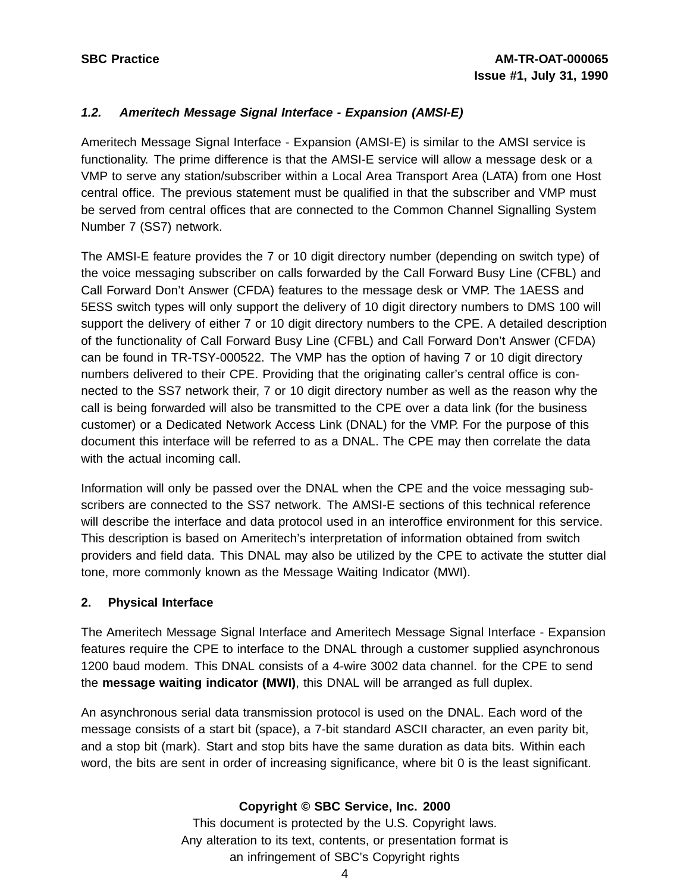# **1.2. Ameritech Message Signal Interface - Expansion (AMSI-E)**

Ameritech Message Signal Interface - Expansion (AMSI-E) is similar to the AMSI service is functionality. The prime difference is that the AMSI-E service will allow a message desk or a VMP to serve any station/subscriber within a Local Area Transport Area (LATA) from one Host central office. The previous statement must be qualified in that the subscriber and VMP must be served from central offices that are connected to the Common Channel Signalling System Number 7 (SS7) network.

The AMSI-E feature provides the 7 or 10 digit directory number (depending on switch type) of the voice messaging subscriber on calls forwarded by the Call Forward Busy Line (CFBL) and Call Forward Don't Answer (CFDA) features to the message desk or VMP. The 1AESS and 5ESS switch types will only support the delivery of 10 digit directory numbers to DMS 100 will support the delivery of either 7 or 10 digit directory numbers to the CPE. A detailed description of the functionality of Call Forward Busy Line (CFBL) and Call Forward Don't Answer (CFDA) can be found in TR-TSY-000522. The VMP has the option of having 7 or 10 digit directory numbers delivered to their CPE. Providing that the originating caller's central office is connected to the SS7 network their, 7 or 10 digit directory number as well as the reason why the call is being forwarded will also be transmitted to the CPE over a data link (for the business customer) or a Dedicated Network Access Link (DNAL) for the VMP. For the purpose of this document this interface will be referred to as a DNAL. The CPE may then correlate the data with the actual incoming call.

Information will only be passed over the DNAL when the CPE and the voice messaging subscribers are connected to the SS7 network. The AMSI-E sections of this technical reference will describe the interface and data protocol used in an interoffice environment for this service. This description is based on Ameritech's interpretation of information obtained from switch providers and field data. This DNAL may also be utilized by the CPE to activate the stutter dial tone, more commonly known as the Message Waiting Indicator (MWI).

## **2. Physical Interface**

The Ameritech Message Signal Interface and Ameritech Message Signal Interface - Expansion features require the CPE to interface to the DNAL through a customer supplied asynchronous 1200 baud modem. This DNAL consists of a 4-wire 3002 data channel. for the CPE to send the **message waiting indicator (MWI)**, this DNAL will be arranged as full duplex.

An asynchronous serial data transmission protocol is used on the DNAL. Each word of the message consists of a start bit (space), a 7-bit standard ASCII character, an even parity bit, and a stop bit (mark). Start and stop bits have the same duration as data bits. Within each word, the bits are sent in order of increasing significance, where bit 0 is the least significant.

## **Copyright © SBC Service, Inc. 2000**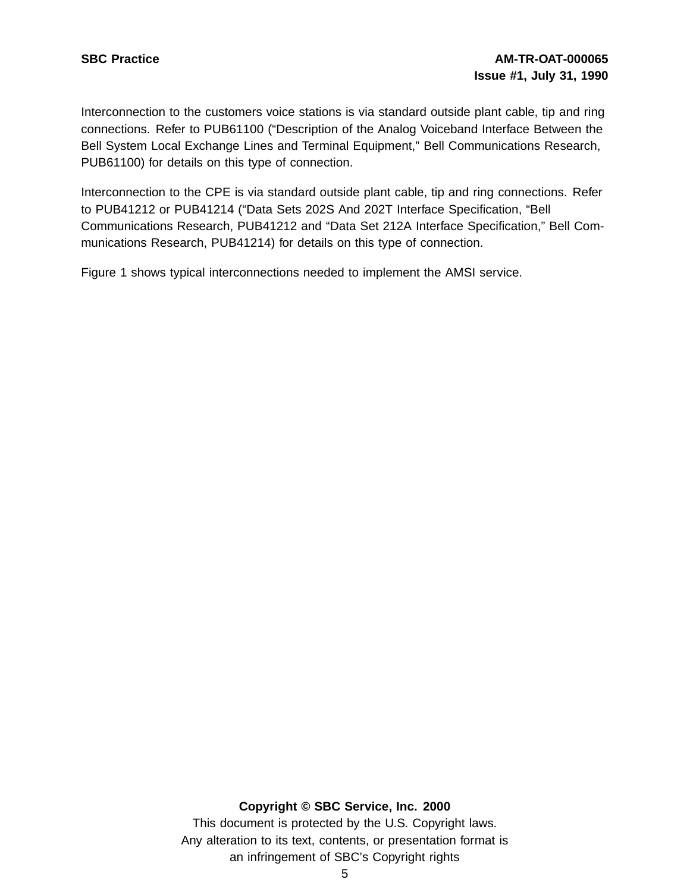Interconnection to the customers voice stations is via standard outside plant cable, tip and ring connections. Refer to PUB61100 ("Description of the Analog Voiceband Interface Between the Bell System Local Exchange Lines and Terminal Equipment," Bell Communications Research, PUB61100) for details on this type of connection.

Interconnection to the CPE is via standard outside plant cable, tip and ring connections. Refer to PUB41212 or PUB41214 ("Data Sets 202S And 202T Interface Specification, "Bell Communications Research, PUB41212 and "Data Set 212A Interface Specification," Bell Communications Research, PUB41214) for details on this type of connection.

Figure 1 shows typical interconnections needed to implement the AMSI service.

#### **Copyright © SBC Service, Inc. 2000**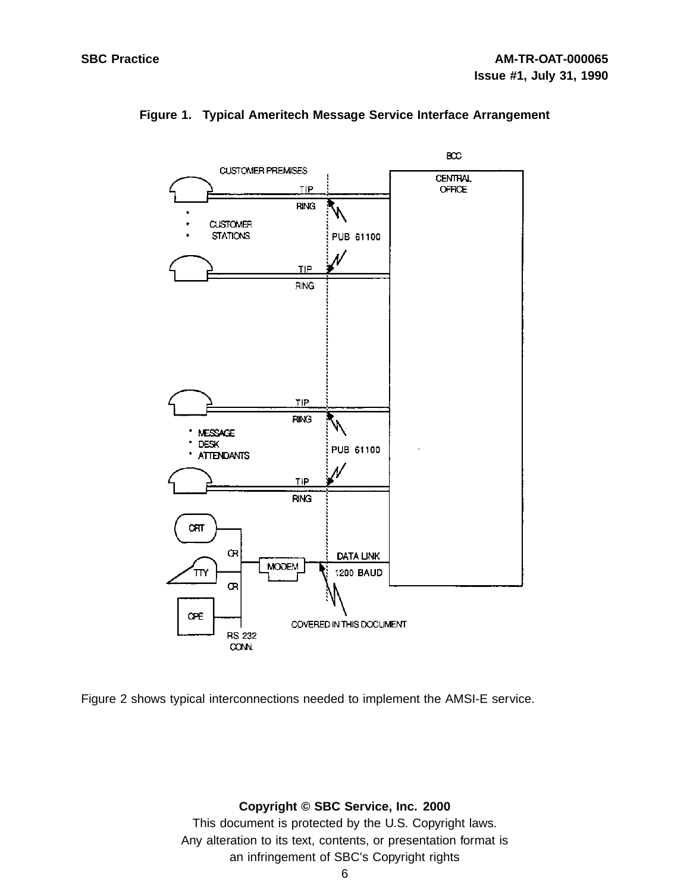

## **Figure 1. Typical Ameritech Message Service Interface Arrangement**

Figure 2 shows typical interconnections needed to implement the AMSI-E service.

**Copyright © SBC Service, Inc. 2000**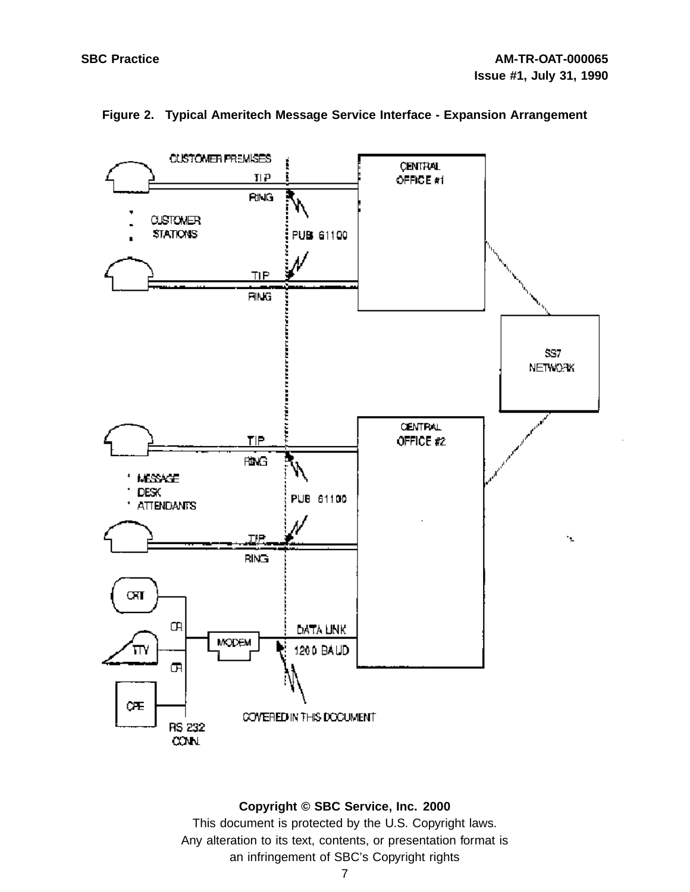

## **Figure 2. Typical Ameritech Message Service Interface - Expansion Arrangement**

#### **Copyright © SBC Service, Inc. 2000**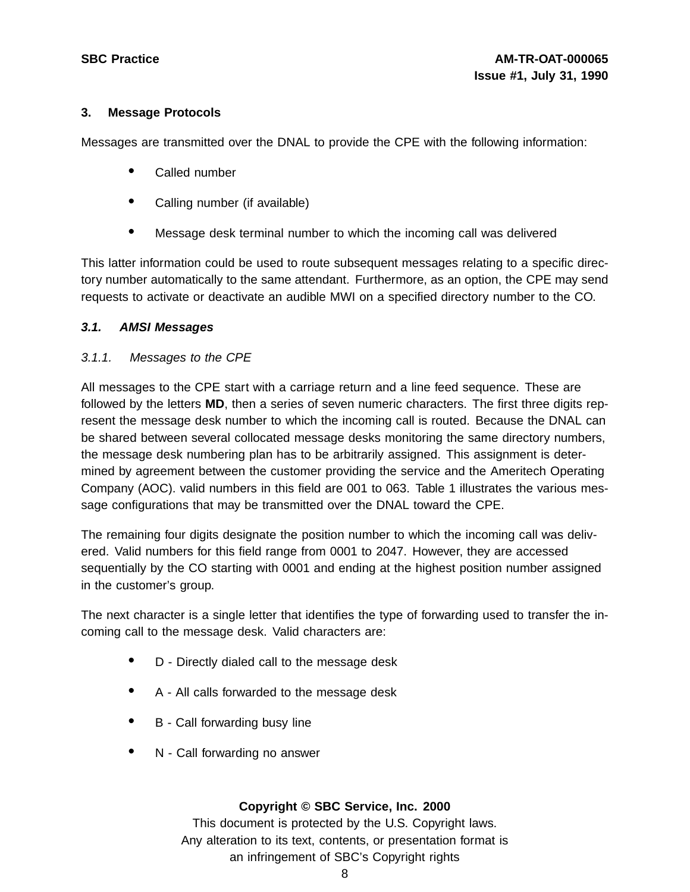## **3. Message Protocols**

Messages are transmitted over the DNAL to provide the CPE with the following information:

- Called number
- Calling number (if available)
- Message desk terminal number to which the incoming call was delivered

This latter information could be used to route subsequent messages relating to a specific directory number automatically to the same attendant. Furthermore, as an option, the CPE may send requests to activate or deactivate an audible MWI on a specified directory number to the CO.

## **3.1. AMSI Messages**

## 3.1.1. Messages to the CPE

All messages to the CPE start with a carriage return and a line feed sequence. These are followed by the letters **MD**, then a series of seven numeric characters. The first three digits represent the message desk number to which the incoming call is routed. Because the DNAL can be shared between several collocated message desks monitoring the same directory numbers, the message desk numbering plan has to be arbitrarily assigned. This assignment is determined by agreement between the customer providing the service and the Ameritech Operating Company (AOC). valid numbers in this field are 001 to 063. Table 1 illustrates the various message configurations that may be transmitted over the DNAL toward the CPE.

The remaining four digits designate the position number to which the incoming call was delivered. Valid numbers for this field range from 0001 to 2047. However, they are accessed sequentially by the CO starting with 0001 and ending at the highest position number assigned in the customer's group.

The next character is a single letter that identifies the type of forwarding used to transfer the incoming call to the message desk. Valid characters are:

- <sup>D</sup> Directly dialed call to the message desk
- A All calls forwarded to the message desk
- B Call forwarding busy line
- N Call forwarding no answer

## **Copyright © SBC Service, Inc. 2000**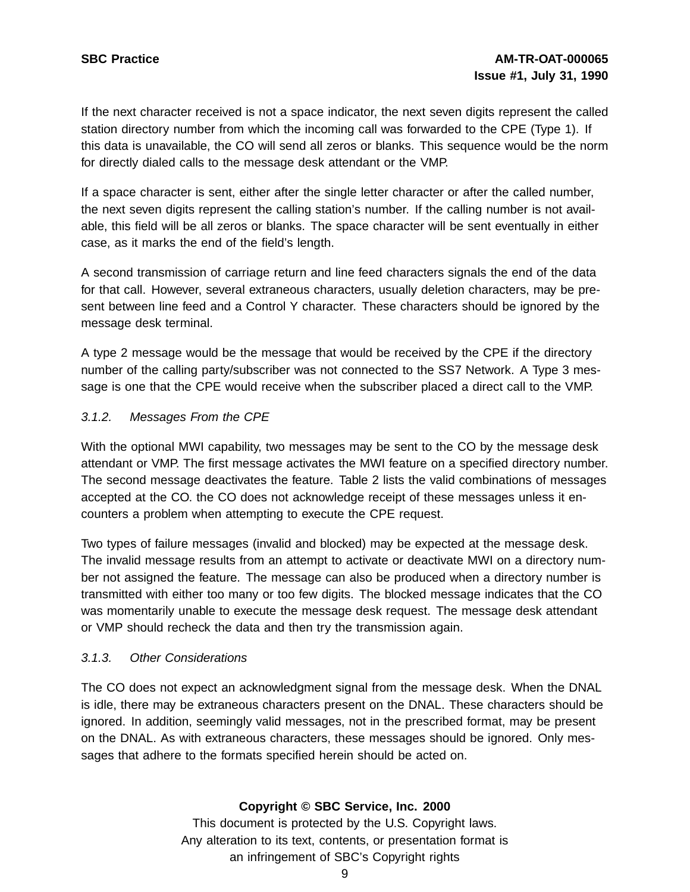If the next character received is not a space indicator, the next seven digits represent the called station directory number from which the incoming call was forwarded to the CPE (Type 1). If this data is unavailable, the CO will send all zeros or blanks. This sequence would be the norm for directly dialed calls to the message desk attendant or the VMP.

If a space character is sent, either after the single letter character or after the called number, the next seven digits represent the calling station's number. If the calling number is not available, this field will be all zeros or blanks. The space character will be sent eventually in either case, as it marks the end of the field's length.

A second transmission of carriage return and line feed characters signals the end of the data for that call. However, several extraneous characters, usually deletion characters, may be present between line feed and a Control Y character. These characters should be ignored by the message desk terminal.

A type 2 message would be the message that would be received by the CPE if the directory number of the calling party/subscriber was not connected to the SS7 Network. A Type 3 message is one that the CPE would receive when the subscriber placed a direct call to the VMP.

## 3.1.2. Messages From the CPE

With the optional MWI capability, two messages may be sent to the CO by the message desk attendant or VMP. The first message activates the MWI feature on a specified directory number. The second message deactivates the feature. Table 2 lists the valid combinations of messages accepted at the CO. the CO does not acknowledge receipt of these messages unless it encounters a problem when attempting to execute the CPE request.

Two types of failure messages (invalid and blocked) may be expected at the message desk. The invalid message results from an attempt to activate or deactivate MWI on a directory number not assigned the feature. The message can also be produced when a directory number is transmitted with either too many or too few digits. The blocked message indicates that the CO was momentarily unable to execute the message desk request. The message desk attendant or VMP should recheck the data and then try the transmission again.

## 3.1.3. Other Considerations

The CO does not expect an acknowledgment signal from the message desk. When the DNAL is idle, there may be extraneous characters present on the DNAL. These characters should be ignored. In addition, seemingly valid messages, not in the prescribed format, may be present on the DNAL. As with extraneous characters, these messages should be ignored. Only messages that adhere to the formats specified herein should be acted on.

## **Copyright © SBC Service, Inc. 2000**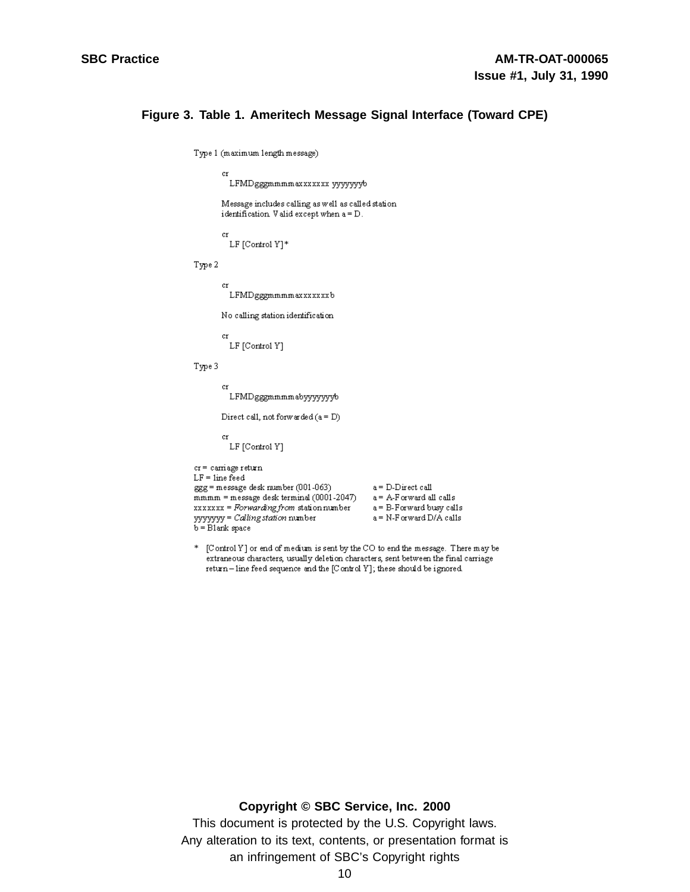#### **Figure 3. Table 1. Ameritech Message Signal Interface (Toward CPE)**

Type 1 (maximum length message)

Cf<sub>1</sub>

LFMDgggmmmmaxxxxxxx yyyyyyb

Message includes calling as well as called station identification V alid except when a = D.

 ${\tt cr}$ LF [Control Y]\*

Type 2

 ${\tt cr}$ LFMDgggmmmmaxxxxxxxb

No calling station identification

 $_{\rm cr}$ LF [Control Y]

Type 3

 $ct$ LFMDgggmmmmabyyyyyyyb Direct call, not forwarded  $(a = D)$  $\mathtt{cr}$ -<br>LF [Control Y]  $cr = carriage return$  $LF = line feed$  $ggg$  = message desk number (001-063)  $\mathtt{a} = \mathtt{D}\text{-}\mathtt{Direct}$  call mmmm = message desk terminal  $(0001 - 2047)$  a = A-F orward all calls a = B-Forward busy calls xxxxxx = Forwarding from station number yyyyyy = Calling station number  $a = N - F$  orward  $D/A$  calls b = Blank space

\* [Control Y] or end of medium is sent by the CO to end the message. There may be extraneous characters, usually deletion characters, sent between the final carriage return-line feed sequence and the [Control Y]; these should be ignored.

#### **Copyright © SBC Service, Inc. 2000**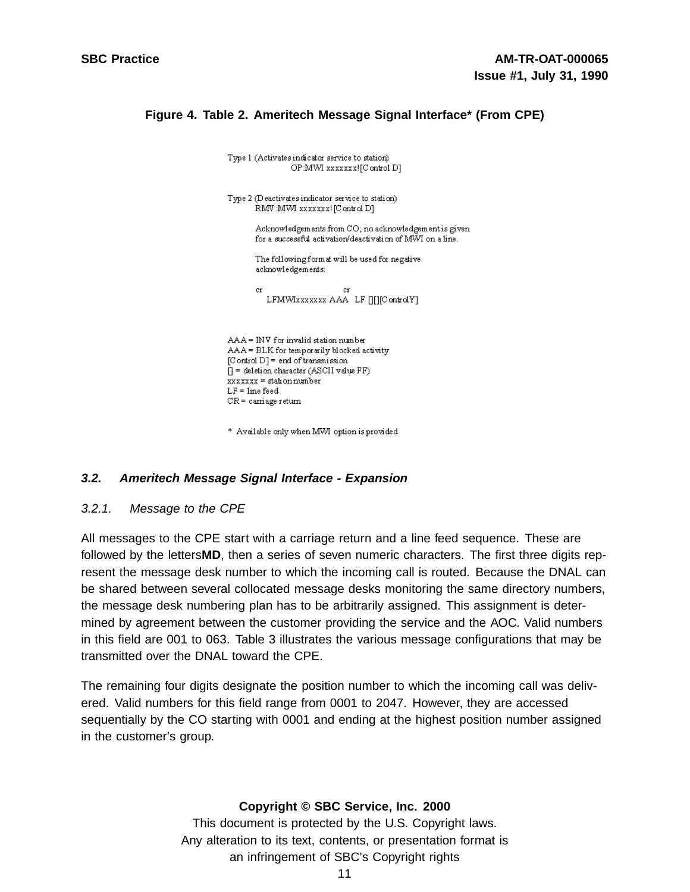# **Figure 4. Table 2. Ameritech Message Signal Interface\* (From CPE)**

Type 1 (Activates indicator service to station) OP:MWI xxxxxxx![Control D]

Type 2 (Deactivates indicator service to station) RMV:MWI xxxxxxx! [Control D]

> Acknowledgements from CO; no acknowledgement is given for a successful activation/deactivation of MWI on a line.

The following format will be used for negative acknowledgements:

Cf. cr. LFMWIxxxxxx AAA LF [[[[ControlY]

AAA = INV for invalid station number AAA = BLK for temporarily blocked activity [Control D] = end of transmission  $[] =$  deletion character (ASCII value FF)  $xxxxxx = station number$  $\mathsf{LF} \equiv \mathsf{line}\ \mathsf{feed}$  $CR =$  carriage return

\* Available only when MWI option is provided

## **3.2. Ameritech Message Signal Interface - Expansion**

#### 3.2.1. Message to the CPE

All messages to the CPE start with a carriage return and a line feed sequence. These are followed by the letters**MD**, then a series of seven numeric characters. The first three digits represent the message desk number to which the incoming call is routed. Because the DNAL can be shared between several collocated message desks monitoring the same directory numbers, the message desk numbering plan has to be arbitrarily assigned. This assignment is determined by agreement between the customer providing the service and the AOC. Valid numbers in this field are 001 to 063. Table 3 illustrates the various message configurations that may be transmitted over the DNAL toward the CPE.

The remaining four digits designate the position number to which the incoming call was delivered. Valid numbers for this field range from 0001 to 2047. However, they are accessed sequentially by the CO starting with 0001 and ending at the highest position number assigned in the customer's group.

#### **Copyright © SBC Service, Inc. 2000**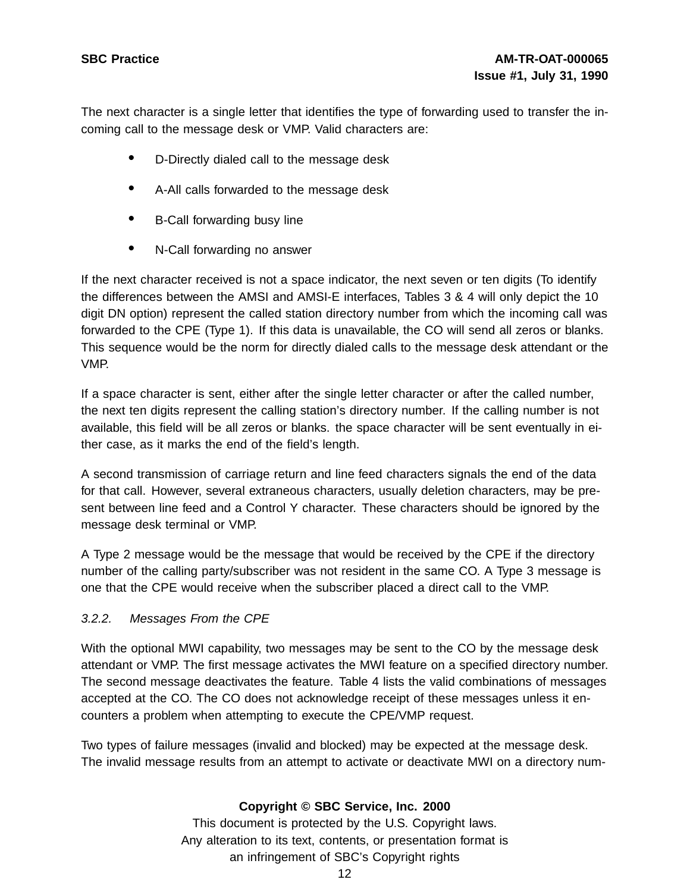The next character is a single letter that identifies the type of forwarding used to transfer the incoming call to the message desk or VMP. Valid characters are:

- D-Directly dialed call to the message desk
- A-All calls forwarded to the message desk
- B-Call forwarding busy line
- N-Call forwarding no answer

If the next character received is not a space indicator, the next seven or ten digits (To identify the differences between the AMSI and AMSI-E interfaces, Tables 3 & 4 will only depict the 10 digit DN option) represent the called station directory number from which the incoming call was forwarded to the CPE (Type 1). If this data is unavailable, the CO will send all zeros or blanks. This sequence would be the norm for directly dialed calls to the message desk attendant or the VMP.

If a space character is sent, either after the single letter character or after the called number, the next ten digits represent the calling station's directory number. If the calling number is not available, this field will be all zeros or blanks. the space character will be sent eventually in either case, as it marks the end of the field's length.

A second transmission of carriage return and line feed characters signals the end of the data for that call. However, several extraneous characters, usually deletion characters, may be present between line feed and a Control Y character. These characters should be ignored by the message desk terminal or VMP.

A Type 2 message would be the message that would be received by the CPE if the directory number of the calling party/subscriber was not resident in the same CO. A Type 3 message is one that the CPE would receive when the subscriber placed a direct call to the VMP.

# 3.2.2. Messages From the CPE

With the optional MWI capability, two messages may be sent to the CO by the message desk attendant or VMP. The first message activates the MWI feature on a specified directory number. The second message deactivates the feature. Table 4 lists the valid combinations of messages accepted at the CO. The CO does not acknowledge receipt of these messages unless it encounters a problem when attempting to execute the CPE/VMP request.

Two types of failure messages (invalid and blocked) may be expected at the message desk. The invalid message results from an attempt to activate or deactivate MWI on a directory num-

# **Copyright © SBC Service, Inc. 2000**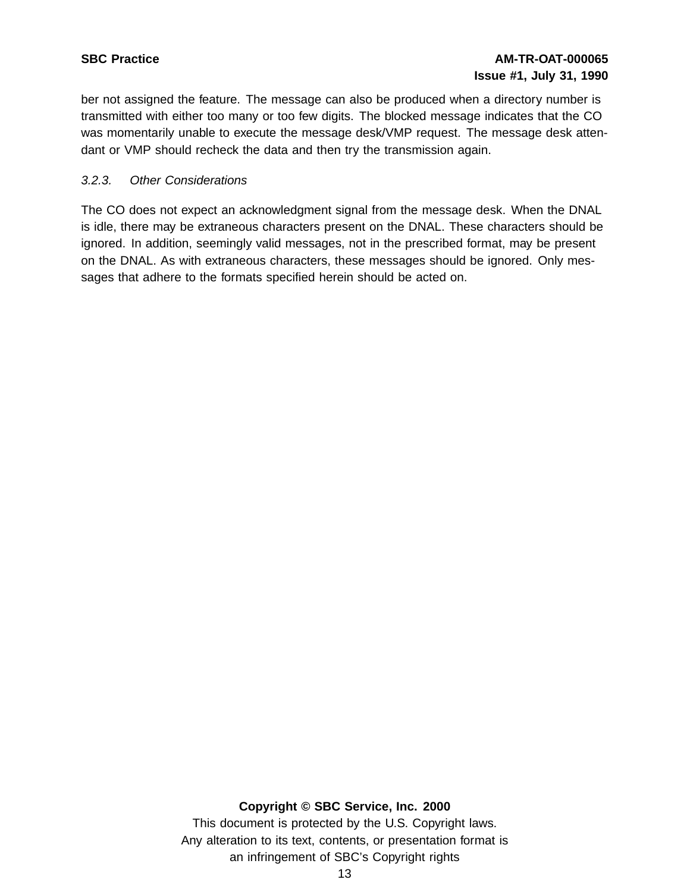ber not assigned the feature. The message can also be produced when a directory number is transmitted with either too many or too few digits. The blocked message indicates that the CO was momentarily unable to execute the message desk/VMP request. The message desk attendant or VMP should recheck the data and then try the transmission again.

# 3.2.3. Other Considerations

The CO does not expect an acknowledgment signal from the message desk. When the DNAL is idle, there may be extraneous characters present on the DNAL. These characters should be ignored. In addition, seemingly valid messages, not in the prescribed format, may be present on the DNAL. As with extraneous characters, these messages should be ignored. Only messages that adhere to the formats specified herein should be acted on.

## **Copyright © SBC Service, Inc. 2000**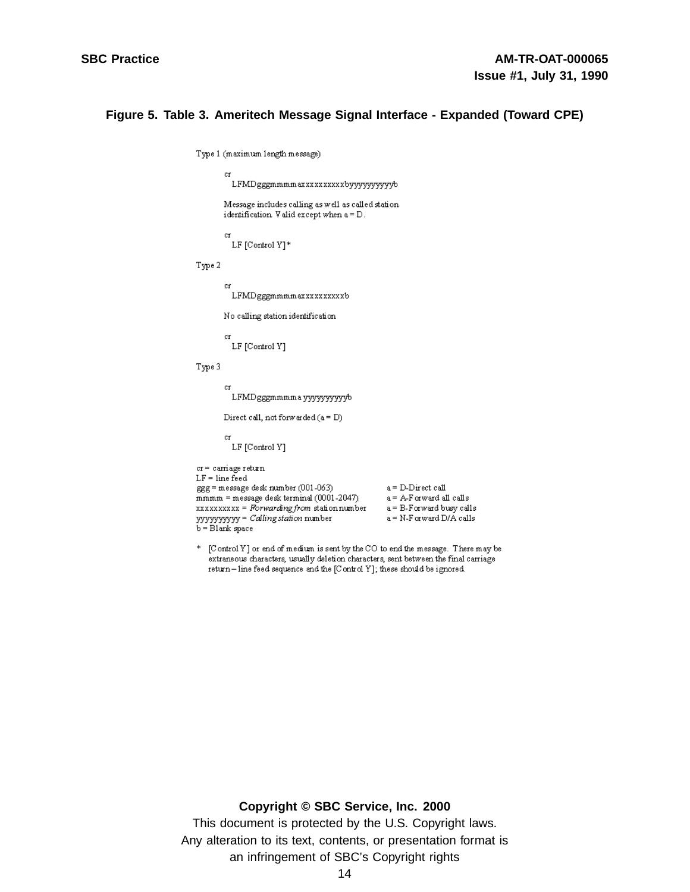#### **Figure 5. Table 3. Ameritech Message Signal Interface - Expanded (Toward CPE)**

Type 1 (maximum length message)

<sub>C</sub>r LFMDgggmmmmaxxxxxxxxxxbyyyyyyyyyyb

Message includes calling as well as called station identification V alid except when a = D.

cr LF [Control Y]\*

Type 2

 $ct$ LFMDgggmmmmaxxxxxxxxxxb No calling station identification  $ct$ LF [Control Y]

Type 3  $ct$ 

> LFMDgggmmmma yyyyyyyyyb Direct call, not forwarded  $(a = D)$  $ct$

LF [Control Y]

```
cr = cm i a ge return\operatorname{LF} = 1<br>ine feed
ggg = message desk mmber (001-063)
                                                             \mathtt{a} = \mathtt{D}\text{-}\mathtt{Direct} call
\overline{\text{mm}}m = message desk terminal (0001-2047)
                                                            \mathtt{a} = A-F orward all calls
xxxxxxxx = Forwarding from station numbera = B-Forward busy calls
yyyyyyyyy = Calling station number
                                                             a = N - F or ward D/A calls
b = Blank space
```
\* [Control Y] or end of medium is sent by the CO to end the message. There may be extraneous characters, usually deletion characters, sent between the final carriage return-line feed sequence and the [Control Y]; these should be ignored.

#### **Copyright © SBC Service, Inc. 2000**